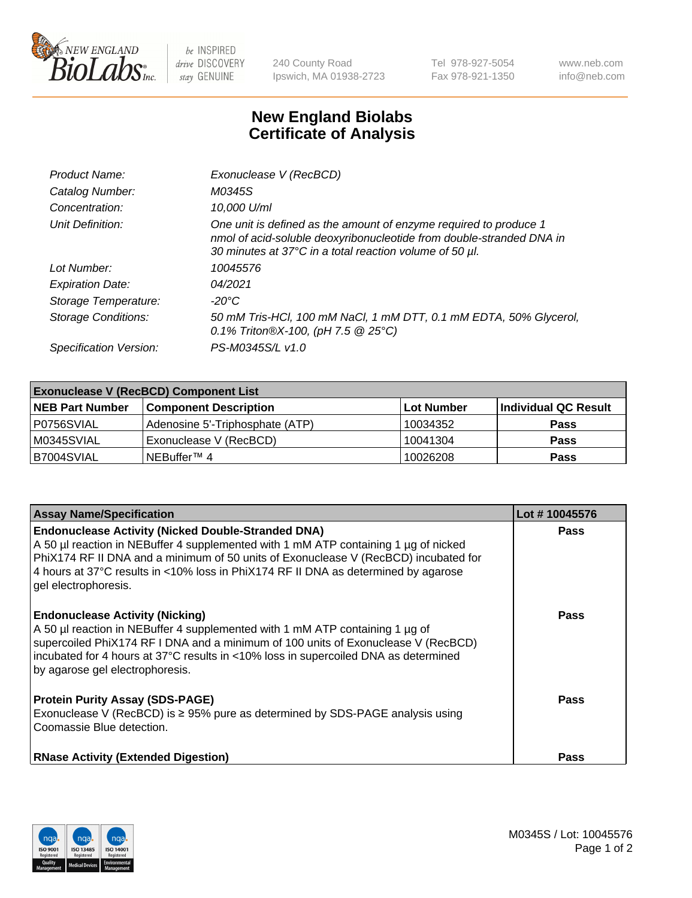

 $be$  INSPIRED drive DISCOVERY stay GENUINE

240 County Road Ipswich, MA 01938-2723 Tel 978-927-5054 Fax 978-921-1350 www.neb.com info@neb.com

## **New England Biolabs Certificate of Analysis**

| Product Name:              | Exonuclease V (RecBCD)                                                                                                                                                                               |
|----------------------------|------------------------------------------------------------------------------------------------------------------------------------------------------------------------------------------------------|
| Catalog Number:            | M0345S                                                                                                                                                                                               |
| Concentration:             | 10,000 U/ml                                                                                                                                                                                          |
| Unit Definition:           | One unit is defined as the amount of enzyme required to produce 1<br>nmol of acid-soluble deoxyribonucleotide from double-stranded DNA in<br>30 minutes at 37°C in a total reaction volume of 50 µl. |
| Lot Number:                | 10045576                                                                                                                                                                                             |
| <b>Expiration Date:</b>    | 04/2021                                                                                                                                                                                              |
| Storage Temperature:       | $-20^{\circ}$ C                                                                                                                                                                                      |
| <b>Storage Conditions:</b> | 50 mM Tris-HCl, 100 mM NaCl, 1 mM DTT, 0.1 mM EDTA, 50% Glycerol,<br>0.1% Triton®X-100, (pH 7.5 $@25°C$ )                                                                                            |
| Specification Version:     | PS-M0345S/L v1.0                                                                                                                                                                                     |

| <b>Exonuclease V (RecBCD) Component List</b> |                                 |                   |                      |  |
|----------------------------------------------|---------------------------------|-------------------|----------------------|--|
| <b>NEB Part Number</b>                       | <b>Component Description</b>    | <b>Lot Number</b> | Individual QC Result |  |
| I P0756SVIAL                                 | Adenosine 5'-Triphosphate (ATP) | 10034352          | <b>Pass</b>          |  |
| M0345SVIAL                                   | Exonuclease V (RecBCD)          | 10041304          | <b>Pass</b>          |  |
| B7004SVIAL                                   | INEBuffer™ 4                    | 10026208          | <b>Pass</b>          |  |

| <b>Assay Name/Specification</b>                                                                                                                                                                                                                                                                                                                       | Lot #10045576 |
|-------------------------------------------------------------------------------------------------------------------------------------------------------------------------------------------------------------------------------------------------------------------------------------------------------------------------------------------------------|---------------|
| <b>Endonuclease Activity (Nicked Double-Stranded DNA)</b><br>A 50 µl reaction in NEBuffer 4 supplemented with 1 mM ATP containing 1 µg of nicked<br>PhiX174 RF II DNA and a minimum of 50 units of Exonuclease V (RecBCD) incubated for<br>4 hours at 37°C results in <10% loss in PhiX174 RF II DNA as determined by agarose<br>gel electrophoresis. | <b>Pass</b>   |
| <b>Endonuclease Activity (Nicking)</b><br>A 50 µl reaction in NEBuffer 4 supplemented with 1 mM ATP containing 1 µg of<br>supercoiled PhiX174 RF I DNA and a minimum of 100 units of Exonuclease V (RecBCD)<br>incubated for 4 hours at 37°C results in <10% loss in supercoiled DNA as determined<br>by agarose gel electrophoresis.                 | <b>Pass</b>   |
| <b>Protein Purity Assay (SDS-PAGE)</b><br>Exonuclease V (RecBCD) is $\geq$ 95% pure as determined by SDS-PAGE analysis using<br>Coomassie Blue detection.                                                                                                                                                                                             | <b>Pass</b>   |
| <b>RNase Activity (Extended Digestion)</b>                                                                                                                                                                                                                                                                                                            | <b>Pass</b>   |